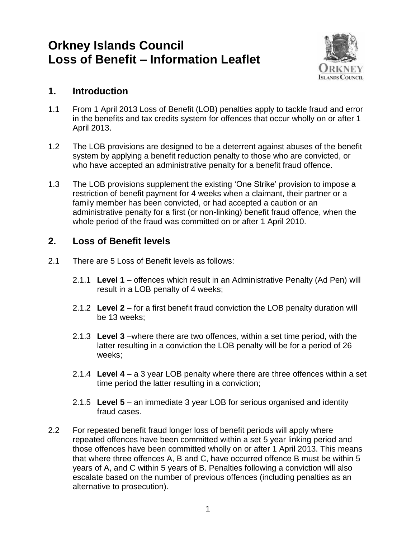# **Orkney Islands Council Loss of Benefit – Information Leaflet**



#### **1. Introduction**

- 1.1 From 1 April 2013 Loss of Benefit (LOB) penalties apply to tackle fraud and error in the benefits and tax credits system for offences that occur wholly on or after 1 April 2013.
- 1.2 The LOB provisions are designed to be a deterrent against abuses of the benefit system by applying a benefit reduction penalty to those who are convicted, or who have accepted an administrative penalty for a benefit fraud offence.
- 1.3 The LOB provisions supplement the existing 'One Strike' provision to impose a restriction of benefit payment for 4 weeks when a claimant, their partner or a family member has been convicted, or had accepted a caution or an administrative penalty for a first (or non-linking) benefit fraud offence, when the whole period of the fraud was committed on or after 1 April 2010.

## **2. Loss of Benefit levels**

- 2.1 There are 5 Loss of Benefit levels as follows:
	- 2.1.1 **Level 1** offences which result in an Administrative Penalty (Ad Pen) will result in a LOB penalty of 4 weeks;
	- 2.1.2 **Level 2** for a first benefit fraud conviction the LOB penalty duration will be 13 weeks;
	- 2.1.3 **Level 3** –where there are two offences, within a set time period, with the latter resulting in a conviction the LOB penalty will be for a period of 26 weeks;
	- 2.1.4 **Level 4** a 3 year LOB penalty where there are three offences within a set time period the latter resulting in a conviction;
	- 2.1.5 **Level 5** an immediate 3 year LOB for serious organised and identity fraud cases.
- 2.2 For repeated benefit fraud longer loss of benefit periods will apply where repeated offences have been committed within a set 5 year linking period and those offences have been committed wholly on or after 1 April 2013. This means that where three offences A, B and C, have occurred offence B must be within 5 years of A, and C within 5 years of B. Penalties following a conviction will also escalate based on the number of previous offences (including penalties as an alternative to prosecution).